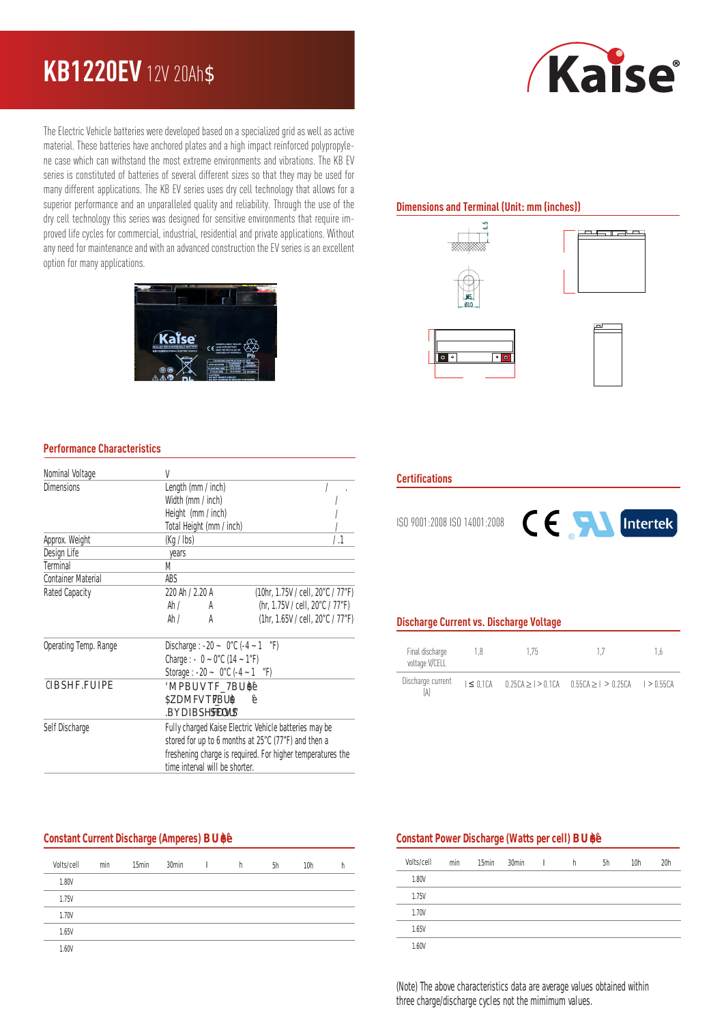# **KB1220EV** 12V 20Ah

The Electric Vehicle batteries were developed based on a specialized grid as well as active material. These batteries have anchored plates and a high impact reinforced polypropylene case which can withstand the most extreme environments and vibrations. The KB EV series is constituted of batteries of several different sizes so that they may be used for many different applications. The KB EV series uses dry cell technology that allows for a superior performance and an unparalleled quality and reliability. Through the use of the dry cell technology this series was designed for sensitive environments that require improved life cycles for commercial, industrial, residential and private applications. Without any need for maintenance and with an advanced construction the EV series is an excellent option for many applications.

# *Kaise*

# **Dimensions and Terminal (Unit: mm (inches))**









## **Performance Characteristics**

| Nominal Voltage           | V                                                          |                                   |  |  |  |
|---------------------------|------------------------------------------------------------|-----------------------------------|--|--|--|
| <b>Dimensions</b>         | Length (mm / inch)                                         |                                   |  |  |  |
|                           | Width (mm / inch)                                          |                                   |  |  |  |
|                           | Height (mm / inch)                                         |                                   |  |  |  |
|                           | Total Height (mm / inch)                                   |                                   |  |  |  |
| Approx. Weight            | (Kq / lbs)                                                 | / .1                              |  |  |  |
| Design Life               | years                                                      |                                   |  |  |  |
| <b>Terminal</b>           | M                                                          |                                   |  |  |  |
| <b>Container Material</b> | ABS                                                        |                                   |  |  |  |
| <b>Rated Capacity</b>     | 220 Ah / 2.20 A                                            | (10hr, 1.75V / cell, 20"C / 77"F) |  |  |  |
|                           | Ah /<br>A                                                  | (hr, 1.75V / cell, 20"C / 77"F)   |  |  |  |
|                           | Ah /<br>A                                                  | (1hr, 1.65V / cell, 20"C / 77"F)  |  |  |  |
| Operating Temp. Range     | Discharge : -20 ~ $0$ "C (-4 ~ 1 "F)                       |                                   |  |  |  |
|                           | Charge : $-0 - 0$ "C (14 ~ 1"F)                            |                                   |  |  |  |
|                           | Storage : -20 ~ $0$ "C (-4 ~ 1 "F)                         |                                   |  |  |  |
| <b>CIBSHF.FUIPE</b>       | MPBUVTF7BU\$                                               |                                   |  |  |  |
|                           | <b>BAFVTF</b><br>7BUS                                      |                                   |  |  |  |
|                           | BDYBSHFDVS<br><b>SFOU</b>                                  |                                   |  |  |  |
| Self Discharge            | Fully charged Kaise Electric Vehicle batteries may be      |                                   |  |  |  |
|                           | stored for up to 6 months at 25"C (77"F) and then a        |                                   |  |  |  |
|                           | freshening charge is required. For higher temperatures the |                                   |  |  |  |
|                           | time interval will be shorter.                             |                                   |  |  |  |

#### **Constant Current Discharge (Amperes) BU**

| Volts/cell | min | 15 <sub>min</sub> | 30 <sub>min</sub> | I | h | 5h | 10 <sub>h</sub> |  |
|------------|-----|-------------------|-------------------|---|---|----|-----------------|--|
| 1.80V      |     |                   |                   |   |   |    |                 |  |
| 1.75V      |     |                   |                   |   |   |    |                 |  |
| 1.70V      |     |                   |                   |   |   |    |                 |  |
| 1.65V      |     |                   |                   |   |   |    |                 |  |
| 1.60V      |     |                   |                   |   |   |    |                 |  |

#### **Certifications**

ISO 9001:2008 ISO 14001:2008



# **Discharge Current vs. Discharge Voltage**

| Final discharge<br>voltage V/CELL | 1.8             | 175 |                                                             | 1.6 |
|-----------------------------------|-----------------|-----|-------------------------------------------------------------|-----|
| Discharge current                 | $I \leq 0.1$ CA |     | $0.25CA \ge 1$ > 0.1CA $0.55CA \ge 1$ > 0.25CA $1$ > 0.55CA |     |

#### **Constant Power Discharge (Watts per cell) BU**

| Volts/cell   | min | 15 <sub>min</sub> | 30 <sub>min</sub> | I | h | 5h | 10 <sub>h</sub> | 20h |
|--------------|-----|-------------------|-------------------|---|---|----|-----------------|-----|
| <b>1.80V</b> |     |                   |                   |   |   |    |                 |     |
| 1.75V        |     |                   |                   |   |   |    |                 |     |
| 1.70V        |     |                   |                   |   |   |    |                 |     |
| 1.65V        |     |                   |                   |   |   |    |                 |     |
| 1.60V        |     |                   |                   |   |   |    |                 |     |

(Note) The above characteristics data are average values obtained within three charge/discharge cycles not the mimimum values.